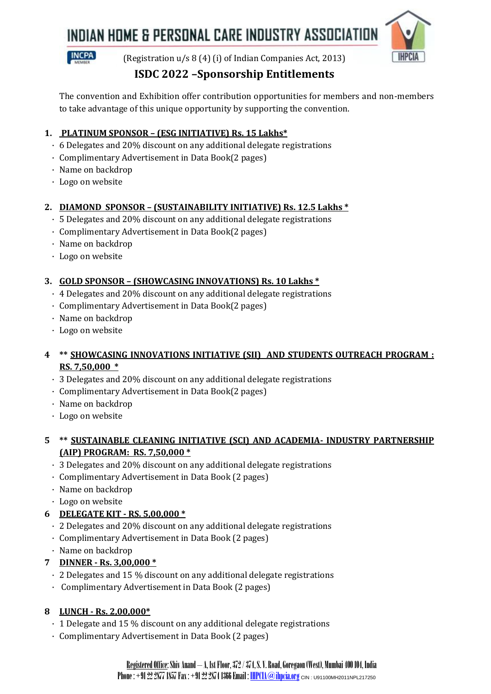## INDIAN HOME & PERSONAL CARE INDUSTRY ASSOCIATION





(Registration u/s 8 (4) (i) of Indian Companies Act, 2013)

### **ISDC 2022 –Sponsorship Entitlements**

The convention and Exhibition offer contribution opportunities for members and non-members to take advantage of this unique opportunity by supporting the convention.

#### **1. PLATINUM SPONSOR – (ESG INITIATIVE) Rs. 15 Lakhs\***

- · 6 Delegates and 20% discount on any additional delegate registrations
- · Complimentary Advertisement in Data Book(2 pages)
- · Name on backdrop
- · Logo on website

#### **2. DIAMOND SPONSOR – (SUSTAINABILITY INITIATIVE) Rs. 12.5 Lakhs \***

- · 5 Delegates and 20% discount on any additional delegate registrations
- · Complimentary Advertisement in Data Book(2 pages)
- · Name on backdrop
- · Logo on website

#### **3. GOLD SPONSOR – (SHOWCASING INNOVATIONS) Rs. 10 Lakhs \***

- · 4 Delegates and 20% discount on any additional delegate registrations
- · Complimentary Advertisement in Data Book(2 pages)
- · Name on backdrop
- · Logo on website

#### **4 \*\* SHOWCASING INNOVATIONS INITIATIVE (SII) AND STUDENTS OUTREACH PROGRAM : RS. 7,50,000 \***

- · 3 Delegates and 20% discount on any additional delegate registrations
- · Complimentary Advertisement in Data Book(2 pages)
- · Name on backdrop
- · Logo on website

#### **5 \*\* SUSTAINABLE CLEANING INITIATIVE (SCI) AND ACADEMIA- INDUSTRY PARTNERSHIP (AIP) PROGRAM: RS. 7,50,000 \***

- · 3 Delegates and 20% discount on any additional delegate registrations
- · Complimentary Advertisement in Data Book (2 pages)
- · Name on backdrop
- · Logo on website

### **6 DELEGATE KIT - RS. 5,00,000 \***

- · 2 Delegates and 20% discount on any additional delegate registrations
- · Complimentary Advertisement in Data Book (2 pages)
- · Name on backdrop

#### **7 DINNER - Rs. 3,00,000 \***

- · 2 Delegates and 15 % discount on any additional delegate registrations
- · Complimentary Advertisement in Data Book (2 pages)

### **8 LUNCH - Rs. 2,00,000\***

- · 1 Delegate and 15 % discount on any additional delegate registrations
- · Complimentary Advertisement in Data Book (2 pages)